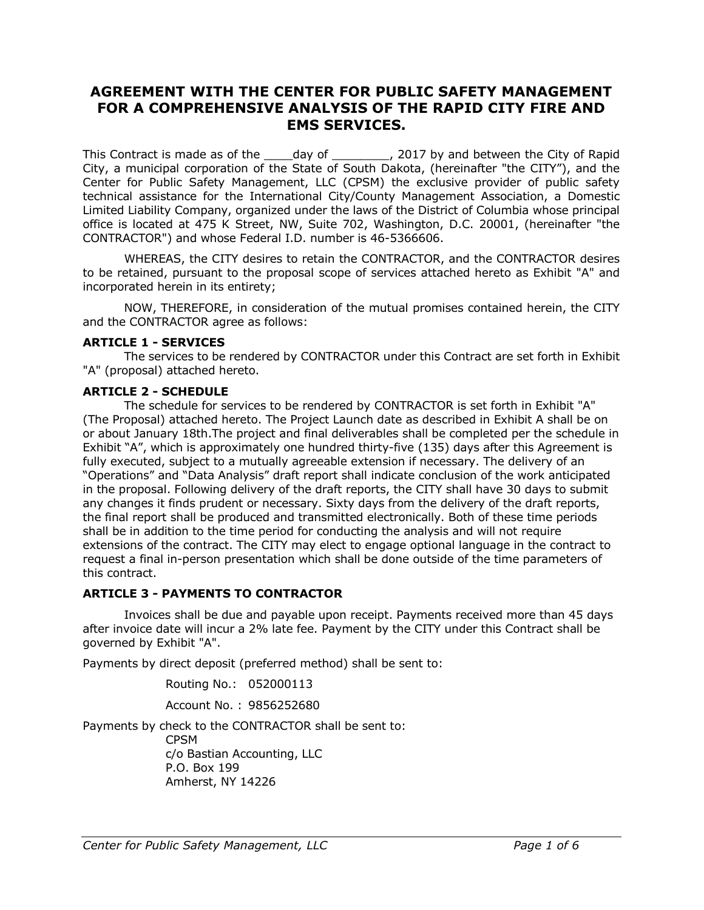# **AGREEMENT WITH THE CENTER FOR PUBLIC SAFETY MANAGEMENT FOR A COMPREHENSIVE ANALYSIS OF THE RAPID CITY FIRE AND EMS SERVICES.**

This Contract is made as of the \_\_\_\_day of \_\_\_\_\_\_\_\_, 2017 by and between the City of Rapid City, a municipal corporation of the State of South Dakota, (hereinafter "the CITY"), and the Center for Public Safety Management, LLC (CPSM) the exclusive provider of public safety technical assistance for the International City/County Management Association, a Domestic Limited Liability Company, organized under the laws of the District of Columbia whose principal office is located at 475 K Street, NW, Suite 702, Washington, D.C. 20001, (hereinafter "the CONTRACTOR") and whose Federal I.D. number is 46-5366606.

WHEREAS, the CITY desires to retain the CONTRACTOR, and the CONTRACTOR desires to be retained, pursuant to the proposal scope of services attached hereto as Exhibit "A" and incorporated herein in its entirety;

NOW, THEREFORE, in consideration of the mutual promises contained herein, the CITY and the CONTRACTOR agree as follows:

#### **ARTICLE 1 - SERVICES**

The services to be rendered by CONTRACTOR under this Contract are set forth in Exhibit "A" (proposal) attached hereto.

#### **ARTICLE 2 - SCHEDULE**

The schedule for services to be rendered by CONTRACTOR is set forth in Exhibit "A" (The Proposal) attached hereto. The Project Launch date as described in Exhibit A shall be on or about January 18th.The project and final deliverables shall be completed per the schedule in Exhibit "A", which is approximately one hundred thirty-five (135) days after this Agreement is fully executed, subject to a mutually agreeable extension if necessary. The delivery of an "Operations" and "Data Analysis" draft report shall indicate conclusion of the work anticipated in the proposal. Following delivery of the draft reports, the CITY shall have 30 days to submit any changes it finds prudent or necessary. Sixty days from the delivery of the draft reports, the final report shall be produced and transmitted electronically. Both of these time periods shall be in addition to the time period for conducting the analysis and will not require extensions of the contract. The CITY may elect to engage optional language in the contract to request a final in-person presentation which shall be done outside of the time parameters of this contract.

#### **ARTICLE 3 - PAYMENTS TO CONTRACTOR**

Invoices shall be due and payable upon receipt. Payments received more than 45 days after invoice date will incur a 2% late fee. Payment by the CITY under this Contract shall be governed by Exhibit "A".

Payments by direct deposit (preferred method) shall be sent to:

Routing No.: 052000113 Account No. : 9856252680

Payments by check to the CONTRACTOR shall be sent to:

CPSM c/o Bastian Accounting, LLC P.O. Box 199 Amherst, NY 14226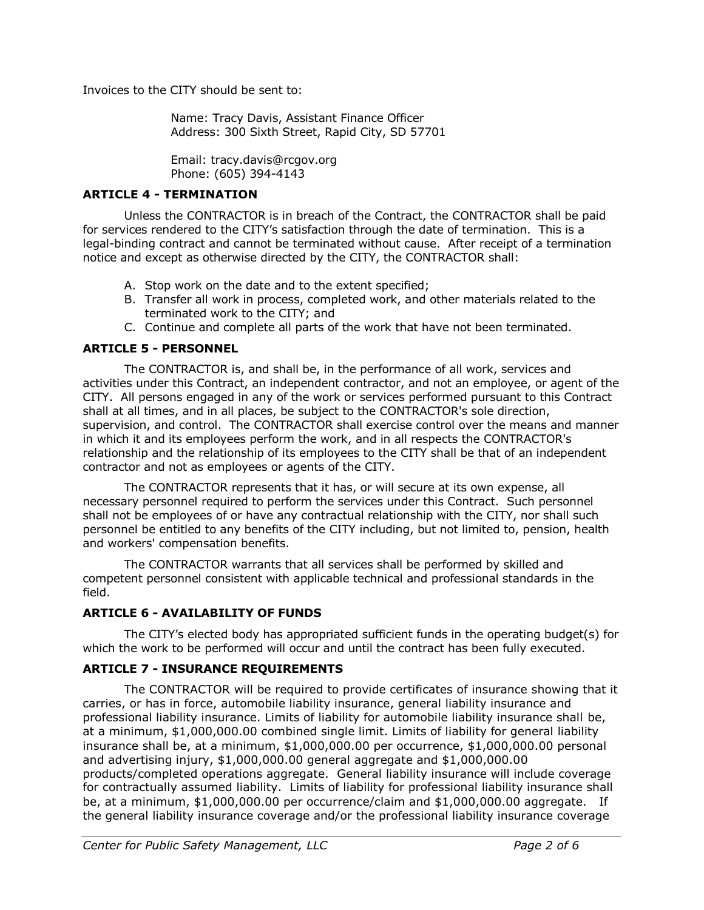Invoices to the CITY should be sent to:

Name: Tracy Davis, Assistant Finance Officer Address: 300 Sixth Street, Rapid City, SD 57701

Email: tracy.davis@rcgov.org Phone: (605) 394-4143

## **ARTICLE 4 - TERMINATION**

Unless the CONTRACTOR is in breach of the Contract, the CONTRACTOR shall be paid for services rendered to the CITY's satisfaction through the date of termination. This is a legal-binding contract and cannot be terminated without cause. After receipt of a termination notice and except as otherwise directed by the CITY, the CONTRACTOR shall:

- A. Stop work on the date and to the extent specified;
- B. Transfer all work in process, completed work, and other materials related to the terminated work to the CITY; and
- C. Continue and complete all parts of the work that have not been terminated.

# **ARTICLE 5 - PERSONNEL**

The CONTRACTOR is, and shall be, in the performance of all work, services and activities under this Contract, an independent contractor, and not an employee, or agent of the CITY. All persons engaged in any of the work or services performed pursuant to this Contract shall at all times, and in all places, be subject to the CONTRACTOR's sole direction, supervision, and control. The CONTRACTOR shall exercise control over the means and manner in which it and its employees perform the work, and in all respects the CONTRACTOR's relationship and the relationship of its employees to the CITY shall be that of an independent contractor and not as employees or agents of the CITY.

The CONTRACTOR represents that it has, or will secure at its own expense, all necessary personnel required to perform the services under this Contract. Such personnel shall not be employees of or have any contractual relationship with the CITY, nor shall such personnel be entitled to any benefits of the CITY including, but not limited to, pension, health and workers' compensation benefits.

The CONTRACTOR warrants that all services shall be performed by skilled and competent personnel consistent with applicable technical and professional standards in the field.

# **ARTICLE 6 - AVAILABILITY OF FUNDS**

The CITY's elected body has appropriated sufficient funds in the operating budget(s) for which the work to be performed will occur and until the contract has been fully executed.

# **ARTICLE 7 - INSURANCE REQUIREMENTS**

The CONTRACTOR will be required to provide certificates of insurance showing that it carries, or has in force, automobile liability insurance, general liability insurance and professional liability insurance. Limits of liability for automobile liability insurance shall be, at a minimum, \$1,000,000.00 combined single limit. Limits of liability for general liability insurance shall be, at a minimum, \$1,000,000.00 per occurrence, \$1,000,000.00 personal and advertising injury, \$1,000,000.00 general aggregate and \$1,000,000.00 products/completed operations aggregate. General liability insurance will include coverage for contractually assumed liability. Limits of liability for professional liability insurance shall be, at a minimum, \$1,000,000.00 per occurrence/claim and \$1,000,000.00 aggregate. If the general liability insurance coverage and/or the professional liability insurance coverage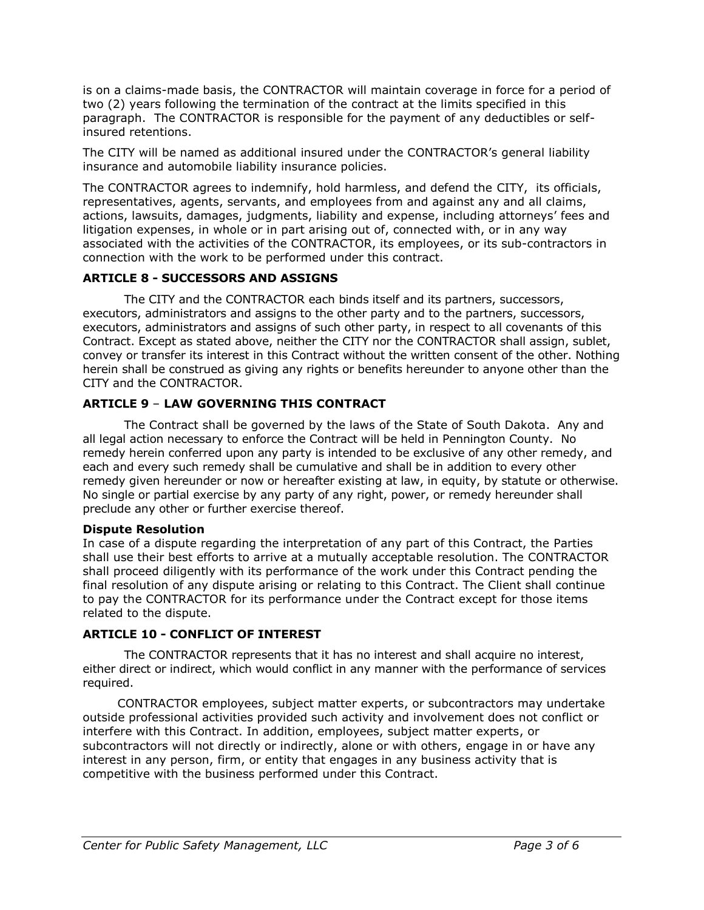is on a claims-made basis, the CONTRACTOR will maintain coverage in force for a period of two (2) years following the termination of the contract at the limits specified in this paragraph. The CONTRACTOR is responsible for the payment of any deductibles or selfinsured retentions.

The CITY will be named as additional insured under the CONTRACTOR's general liability insurance and automobile liability insurance policies.

The CONTRACTOR agrees to indemnify, hold harmless, and defend the CITY, its officials, representatives, agents, servants, and employees from and against any and all claims, actions, lawsuits, damages, judgments, liability and expense, including attorneys' fees and litigation expenses, in whole or in part arising out of, connected with, or in any way associated with the activities of the CONTRACTOR, its employees, or its sub-contractors in connection with the work to be performed under this contract.

## **ARTICLE 8 - SUCCESSORS AND ASSIGNS**

The CITY and the CONTRACTOR each binds itself and its partners, successors, executors, administrators and assigns to the other party and to the partners, successors, executors, administrators and assigns of such other party, in respect to all covenants of this Contract. Except as stated above, neither the CITY nor the CONTRACTOR shall assign, sublet, convey or transfer its interest in this Contract without the written consent of the other. Nothing herein shall be construed as giving any rights or benefits hereunder to anyone other than the CITY and the CONTRACTOR.

## **ARTICLE 9** – **LAW GOVERNING THIS CONTRACT**

The Contract shall be governed by the laws of the State of South Dakota. Any and all legal action necessary to enforce the Contract will be held in Pennington County. No remedy herein conferred upon any party is intended to be exclusive of any other remedy, and each and every such remedy shall be cumulative and shall be in addition to every other remedy given hereunder or now or hereafter existing at law, in equity, by statute or otherwise. No single or partial exercise by any party of any right, power, or remedy hereunder shall preclude any other or further exercise thereof.

#### **Dispute Resolution**

In case of a dispute regarding the interpretation of any part of this Contract, the Parties shall use their best efforts to arrive at a mutually acceptable resolution. The CONTRACTOR shall proceed diligently with its performance of the work under this Contract pending the final resolution of any dispute arising or relating to this Contract. The Client shall continue to pay the CONTRACTOR for its performance under the Contract except for those items related to the dispute.

#### **ARTICLE 10 - CONFLICT OF INTEREST**

The CONTRACTOR represents that it has no interest and shall acquire no interest, either direct or indirect, which would conflict in any manner with the performance of services required.

CONTRACTOR employees, subject matter experts, or subcontractors may undertake outside professional activities provided such activity and involvement does not conflict or interfere with this Contract. In addition, employees, subject matter experts, or subcontractors will not directly or indirectly, alone or with others, engage in or have any interest in any person, firm, or entity that engages in any business activity that is competitive with the business performed under this Contract.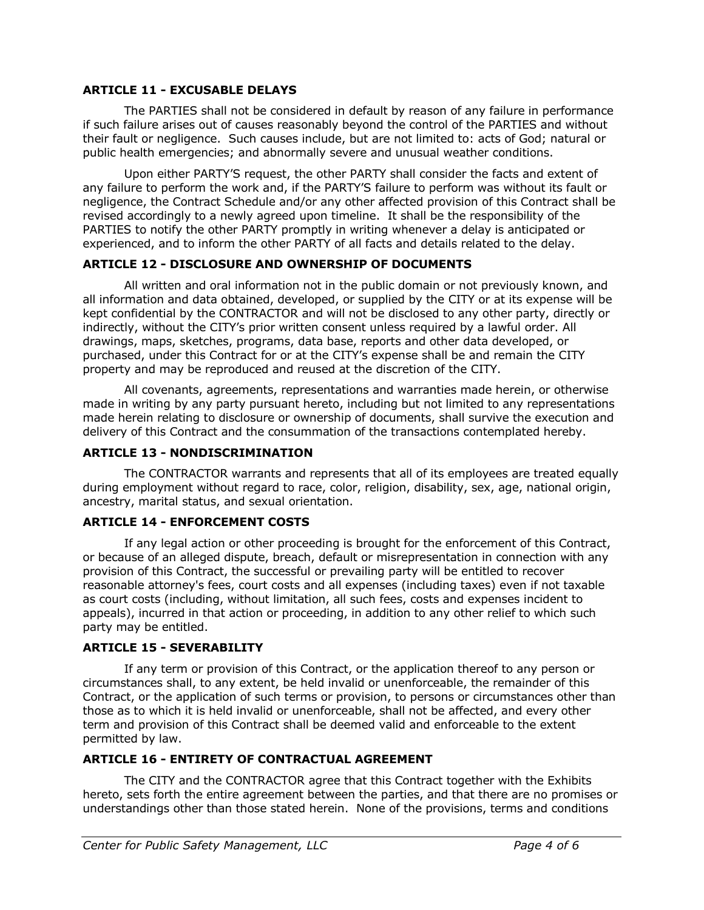#### **ARTICLE 11 - EXCUSABLE DELAYS**

The PARTIES shall not be considered in default by reason of any failure in performance if such failure arises out of causes reasonably beyond the control of the PARTIES and without their fault or negligence. Such causes include, but are not limited to: acts of God; natural or public health emergencies; and abnormally severe and unusual weather conditions.

Upon either PARTY'S request, the other PARTY shall consider the facts and extent of any failure to perform the work and, if the PARTY'S failure to perform was without its fault or negligence, the Contract Schedule and/or any other affected provision of this Contract shall be revised accordingly to a newly agreed upon timeline. It shall be the responsibility of the PARTIES to notify the other PARTY promptly in writing whenever a delay is anticipated or experienced, and to inform the other PARTY of all facts and details related to the delay.

#### **ARTICLE 12 - DISCLOSURE AND OWNERSHIP OF DOCUMENTS**

All written and oral information not in the public domain or not previously known, and all information and data obtained, developed, or supplied by the CITY or at its expense will be kept confidential by the CONTRACTOR and will not be disclosed to any other party, directly or indirectly, without the CITY's prior written consent unless required by a lawful order. All drawings, maps, sketches, programs, data base, reports and other data developed, or purchased, under this Contract for or at the CITY's expense shall be and remain the CITY property and may be reproduced and reused at the discretion of the CITY.

All covenants, agreements, representations and warranties made herein, or otherwise made in writing by any party pursuant hereto, including but not limited to any representations made herein relating to disclosure or ownership of documents, shall survive the execution and delivery of this Contract and the consummation of the transactions contemplated hereby.

#### **ARTICLE 13 - NONDISCRIMINATION**

The CONTRACTOR warrants and represents that all of its employees are treated equally during employment without regard to race, color, religion, disability, sex, age, national origin, ancestry, marital status, and sexual orientation.

#### **ARTICLE 14 - ENFORCEMENT COSTS**

If any legal action or other proceeding is brought for the enforcement of this Contract, or because of an alleged dispute, breach, default or misrepresentation in connection with any provision of this Contract, the successful or prevailing party will be entitled to recover reasonable attorney's fees, court costs and all expenses (including taxes) even if not taxable as court costs (including, without limitation, all such fees, costs and expenses incident to appeals), incurred in that action or proceeding, in addition to any other relief to which such party may be entitled.

#### **ARTICLE 15 - SEVERABILITY**

If any term or provision of this Contract, or the application thereof to any person or circumstances shall, to any extent, be held invalid or unenforceable, the remainder of this Contract, or the application of such terms or provision, to persons or circumstances other than those as to which it is held invalid or unenforceable, shall not be affected, and every other term and provision of this Contract shall be deemed valid and enforceable to the extent permitted by law.

#### **ARTICLE 16 - ENTIRETY OF CONTRACTUAL AGREEMENT**

The CITY and the CONTRACTOR agree that this Contract together with the Exhibits hereto, sets forth the entire agreement between the parties, and that there are no promises or understandings other than those stated herein. None of the provisions, terms and conditions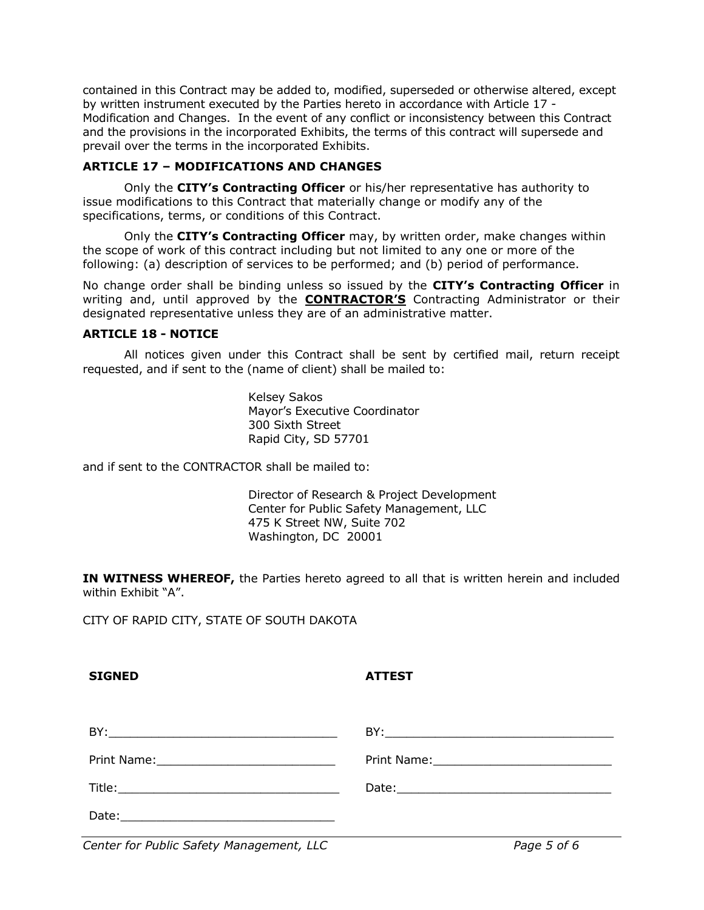contained in this Contract may be added to, modified, superseded or otherwise altered, except by written instrument executed by the Parties hereto in accordance with Article 17 - Modification and Changes. In the event of any conflict or inconsistency between this Contract and the provisions in the incorporated Exhibits, the terms of this contract will supersede and prevail over the terms in the incorporated Exhibits.

#### **ARTICLE 17 – MODIFICATIONS AND CHANGES**

Only the **CITY's Contracting Officer** or his/her representative has authority to issue modifications to this Contract that materially change or modify any of the specifications, terms, or conditions of this Contract.

Only the **CITY's Contracting Officer** may, by written order, make changes within the scope of work of this contract including but not limited to any one or more of the following: (a) description of services to be performed; and (b) period of performance.

No change order shall be binding unless so issued by the **CITY's Contracting Officer** in writing and, until approved by the **CONTRACTOR'S** Contracting Administrator or their designated representative unless they are of an administrative matter.

#### **ARTICLE 18 - NOTICE**

All notices given under this Contract shall be sent by certified mail, return receipt requested, and if sent to the (name of client) shall be mailed to:

> Kelsey Sakos Mayor's Executive Coordinator 300 Sixth Street Rapid City, SD 57701

and if sent to the CONTRACTOR shall be mailed to:

Director of Research & Project Development Center for Public Safety Management, LLC 475 K Street NW, Suite 702 Washington, DC 20001

**IN WITNESS WHEREOF,** the Parties hereto agreed to all that is written herein and included within Exhibit "A".

CITY OF RAPID CITY, STATE OF SOUTH DAKOTA

| <b>SIGNED</b> | <b>ATTEST</b> |
|---------------|---------------|
|               |               |
|               |               |
|               |               |
|               |               |
|               |               |